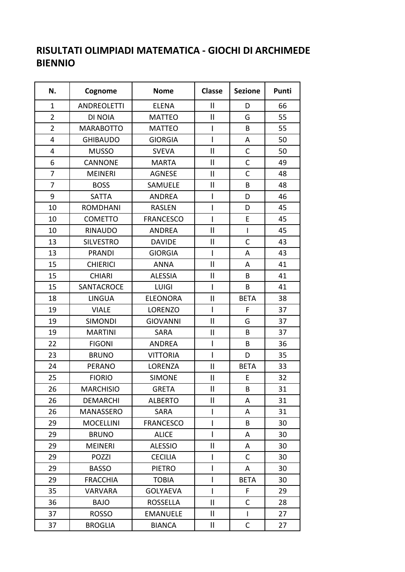## **RISULTATI OLIMPIADI MATEMATICA - GIOCHI DI ARCHIMEDE BIENNIO**

 $\overline{\phantom{a}}$ 

| N.             | Cognome            | <b>Nome</b>      | <b>Classe</b> | <b>Sezione</b> | Punti |
|----------------|--------------------|------------------|---------------|----------------|-------|
| $\mathbf{1}$   | <b>ANDREOLETTI</b> | <b>ELENA</b>     | $\mathbf{I}$  | D              | 66    |
| $\overline{2}$ | DI NOIA            | <b>MATTEO</b>    | $\mathbf{II}$ | G              | 55    |
| $\overline{2}$ | <b>MARABOTTO</b>   | <b>MATTEO</b>    | I             | B              | 55    |
| $\overline{4}$ | <b>GHIBAUDO</b>    | <b>GIORGIA</b>   | $\mathbf{I}$  | A              | 50    |
| $\overline{4}$ | <b>MUSSO</b>       | <b>SVEVA</b>     | $\mathbf{II}$ | $\mathsf{C}$   | 50    |
| 6              | <b>CANNONE</b>     | <b>MARTA</b>     | $\mathbf{I}$  | $\mathsf{C}$   | 49    |
| $\overline{7}$ | <b>MEINERI</b>     | <b>AGNESE</b>    | Ш             | $\mathsf{C}$   | 48    |
| $\overline{7}$ | <b>BOSS</b>        | SAMUELE          | $\mathbf{I}$  | B              | 48    |
| 9              | <b>SATTA</b>       | ANDREA           | I             | D              | 46    |
| 10             | <b>ROMDHANI</b>    | <b>RASLEN</b>    | I             | D              | 45    |
| 10             | <b>COMETTO</b>     | <b>FRANCESCO</b> | I             | E              | 45    |
| 10             | <b>RINAUDO</b>     | <b>ANDREA</b>    | $\mathbf{II}$ | $\overline{1}$ | 45    |
| 13             | <b>SILVESTRO</b>   | <b>DAVIDE</b>    | $\mathbf{II}$ | $\mathsf{C}$   | 43    |
| 13             | <b>PRANDI</b>      | <b>GIORGIA</b>   | I             | A              | 43    |
| 15             | <b>CHIERICI</b>    | <b>ANNA</b>      | $\mathbf{I}$  | A              | 41    |
| 15             | <b>CHIARI</b>      | <b>ALESSIA</b>   | Ш             | B              | 41    |
| 15             | SANTACROCE         | <b>LUIGI</b>     | I             | B              | 41    |
| 18             | <b>LINGUA</b>      | <b>ELEONORA</b>  | $\mathbf{II}$ | <b>BETA</b>    | 38    |
| 19             | <b>VIALE</b>       | LORENZO          | L             | F              | 37    |
| 19             | <b>SIMONDI</b>     | <b>GIOVANNI</b>  | $\mathbf{II}$ | G              | 37    |
| 19             | <b>MARTINI</b>     | <b>SARA</b>      | $\mathbf{II}$ | B              | 37    |
| 22             | <b>FIGONI</b>      | ANDREA           | I             | B              | 36    |
| 23             | <b>BRUNO</b>       | <b>VITTORIA</b>  | Ī             | D              | 35    |
| 24             | <b>PERANO</b>      | LORENZA          | $\mathbf{I}$  | <b>BETA</b>    | 33    |
| 25             | <b>FIORIO</b>      | <b>SIMONE</b>    | Ш             | E              | 32    |
| 26             | <b>MARCHISIO</b>   | <b>GRETA</b>     | $\mathbf{I}$  | B              | 31    |
| 26             | <b>DEMARCHI</b>    | <b>ALBERTO</b>   | $\mathbf{II}$ | A              | 31    |
| 26             | MANASSERO          | <b>SARA</b>      | I             | A              | 31    |
| 29             | <b>MOCELLINI</b>   | <b>FRANCESCO</b> | I             | B              | 30    |
| 29             | <b>BRUNO</b>       | <b>ALICE</b>     | I             | A              | 30    |
| 29             | <b>MEINERI</b>     | <b>ALESSIO</b>   | Ш             | A              | 30    |
| 29             | <b>POZZI</b>       | <b>CECILIA</b>   | I             | C              | 30    |
| 29             | <b>BASSO</b>       | <b>PIETRO</b>    | I             | A              | 30    |
| 29             | <b>FRACCHIA</b>    | <b>TOBIA</b>     | I             | <b>BETA</b>    | 30    |
| 35             | <b>VARVARA</b>     | <b>GOLYAEVA</b>  | I             | F              | 29    |
| 36             | <b>BAJO</b>        | ROSSELLA         | $\mathbf{II}$ | $\mathsf{C}$   | 28    |
| 37             | <b>ROSSO</b>       | <b>EMANUELE</b>  | $\mathbf{II}$ | $\overline{1}$ | 27    |
| 37             | <b>BROGLIA</b>     | <b>BIANCA</b>    | Ш             | С              | 27    |